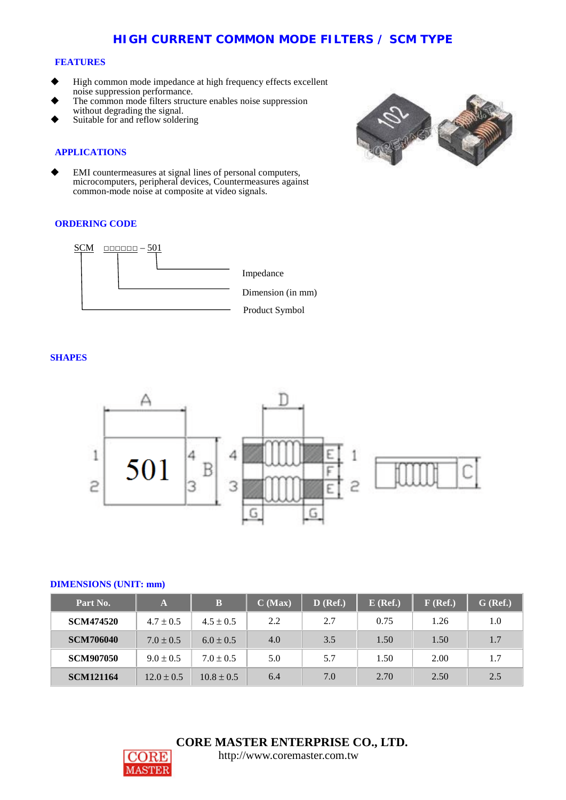# **HIGH CURRENT COMMON MODE FILTERS / SCM TYPE**

#### **FEATURES**

- High common mode impedance at high frequency effects excellent noise suppression performance.
- The common mode filters structure enables noise suppression without degrading the signal.
- Suitable for and reflow soldering

#### **APPLICATIONS**

 EMI countermeasures at signal lines of personal computers, microcomputers, peripheral devices, Countermeasures against common-mode noise at composite at video signals.

#### **ORDERING CODE**



### **SHAPES**



#### **DIMENSIONS (UNIT: mm)**

| Part No.         | $\mathbf{A}$   | B              | C (Max) | $D$ (Ref.) | $E$ (Ref.) | $F$ (Ref.) | $G$ (Ref.) |
|------------------|----------------|----------------|---------|------------|------------|------------|------------|
| <b>SCM474520</b> | $4.7 \pm 0.5$  | $4.5 \pm 0.5$  | 2.2     | 2.7        | 0.75       | 1.26       | 1.0        |
| <b>SCM706040</b> | $7.0 \pm 0.5$  | $6.0 \pm 0.5$  | 4.0     | 3.5        | 1.50       | 1.50       | 1.7        |
| <b>SCM907050</b> | $9.0 \pm 0.5$  | $7.0 \pm 0.5$  | 5.0     | 5.7        | 1.50       | 2.00       | 1.7        |
| <b>SCM121164</b> | $12.0 \pm 0.5$ | $10.8 \pm 0.5$ | 6.4     | 7.0        | 2.70       | 2.50       | 2.5        |



 **CORE MASTER ENTERPRISE CO., LTD.**



[http://www.coremaster.com.tw](http://www.coremaster.com.tw/)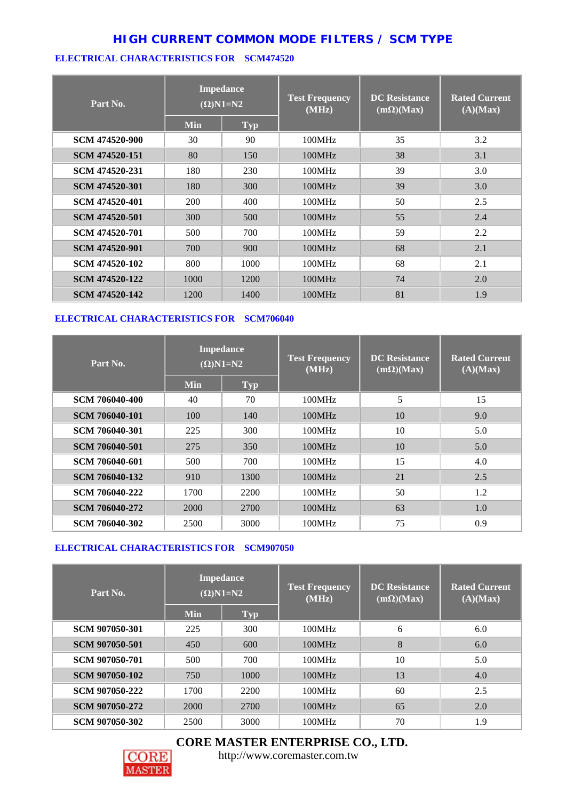# **HIGH CURRENT COMMON MODE FILTERS / SCM TYPE**

### **ELECTRICAL CHARACTERISTICS FOR SCM474520**

| Part No.       | <b>Impedance</b><br>$(\Omega)$ N1=N2 |            | <b>Test Frequency</b><br>(MHz) | <b>DC</b> Resistance<br>$(m\Omega)(Max)$ | <b>Rated Current</b><br>(A)(Max) |
|----------------|--------------------------------------|------------|--------------------------------|------------------------------------------|----------------------------------|
|                | <b>Min</b>                           | <b>Typ</b> |                                |                                          |                                  |
| SCM 474520-900 | 30                                   | 90         | 100MHz                         | 35                                       | 3.2                              |
| SCM 474520-151 | 80                                   | 150        | 100MHz                         | 38                                       | 3.1                              |
| SCM 474520-231 | 180                                  | 230        | 100MHz                         | 39                                       | 3.0                              |
| SCM 474520-301 | 180                                  | 300        | 100MHz                         | 39                                       | 3.0                              |
| SCM 474520-401 | 200                                  | 400        | 100MHz                         | 50                                       | 2.5                              |
| SCM 474520-501 | 300                                  | 500        | 100MHz                         | 55                                       | 2.4                              |
| SCM 474520-701 | 500                                  | 700        | 100MHz                         | 59                                       | 2.2                              |
| SCM 474520-901 | 700                                  | 900        | 100MHz                         | 68                                       | 2.1                              |
| SCM 474520-102 | 800                                  | 1000       | 100MHz                         | 68                                       | 2.1                              |
| SCM 474520-122 | 1000                                 | 1200       | 100MHz                         | 74                                       | 2.0                              |
| SCM 474520-142 | 1200                                 | 1400       | 100MHz                         | 81                                       | 1.9                              |

## **ELECTRICAL CHARACTERISTICS FOR SCM706040**

| Part No.              | <b>Impedance</b><br>$(\Omega)$ N1=N2 |            | <b>Test Frequency</b><br>(MHz) | <b>DC</b> Resistance<br>$(m\Omega)(Max)$ | <b>Rated Current</b><br>(A)(Max) |
|-----------------------|--------------------------------------|------------|--------------------------------|------------------------------------------|----------------------------------|
|                       | <b>Min</b>                           | <b>Typ</b> |                                |                                          |                                  |
| <b>SCM 706040-400</b> | 40                                   | 70         | 100MHz                         | 5                                        | 15                               |
| SCM 706040-101        | 100                                  | 140        | 100MHz                         | 10                                       | 9.0                              |
| SCM 706040-301        | 225                                  | 300        | 100MHz                         | 10                                       | 5.0                              |
| <b>SCM 706040-501</b> | 275                                  | 350        | 100MHz                         | 10                                       | 5.0                              |
| SCM 706040-601        | 500                                  | 700        | 100MHz                         | 15                                       | 4.0                              |
| SCM 706040-132        | 910                                  | 1300       | 100MHz                         | 21                                       | 2.5                              |
| SCM 706040-222        | 1700                                 | 2200       | 100MHz                         | 50                                       | 1.2                              |
| SCM 706040-272        | 2000                                 | 2700       | 100MHz                         | 63                                       | 1.0                              |
| SCM 706040-302        | 2500                                 | 3000       | 100MHz                         | 75                                       | 0.9                              |

## **ELECTRICAL CHARACTERISTICS FOR SCM907050**

| Part No.              | <b>Impedance</b><br>$\overline{(\Omega)}$ N1=N2 |            | <b>Test Frequency</b><br>(MHz) | <b>DC</b> Resistance<br>$(m\Omega)(Max)$ | <b>Rated Current</b><br>(A)(Max) |
|-----------------------|-------------------------------------------------|------------|--------------------------------|------------------------------------------|----------------------------------|
|                       | <b>Min</b>                                      | <b>Typ</b> |                                |                                          |                                  |
| <b>SCM 907050-301</b> | 225                                             | 300        | 100MHz                         | 6                                        | 6.0                              |
| SCM 907050-501        | 450                                             | 600        | 100MHz                         | 8                                        | 6.0                              |
| SCM 907050-701        | 500                                             | 700        | 100MHz                         | 10                                       | 5.0                              |
| SCM 907050-102        | 750                                             | 1000       | 100MHz                         | 13                                       | 4.0                              |
| SCM 907050-222        | 1700                                            | 2200       | 100MHz                         | 60                                       | 2.5                              |
| SCM 907050-272        | 2000                                            | 2700       | 100MHz                         | 65                                       | 2.0                              |
| SCM 907050-302        | 2500                                            | 3000       | 100MHz                         | 70                                       | 1.9                              |





[http://www.coremaster.com.tw](http://www.coremaster.com.tw/)